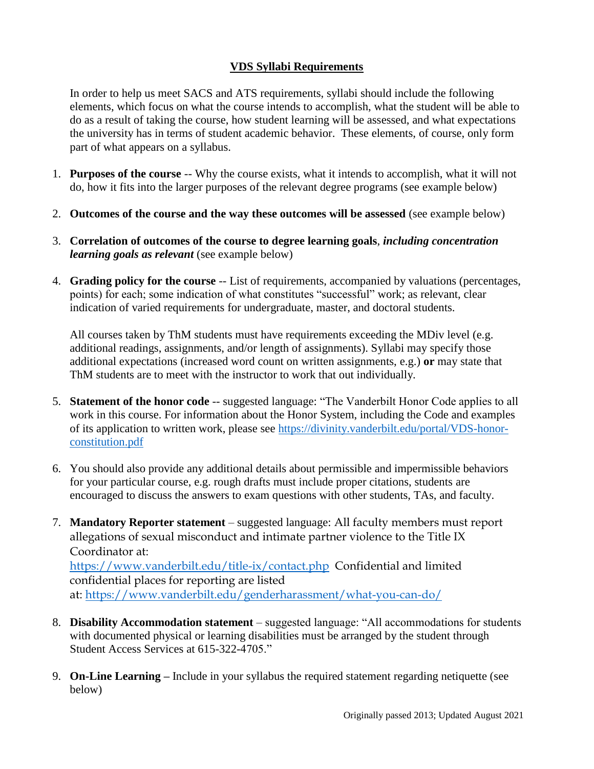# **VDS Syllabi Requirements**

In order to help us meet SACS and ATS requirements, syllabi should include the following elements, which focus on what the course intends to accomplish, what the student will be able to do as a result of taking the course, how student learning will be assessed, and what expectations the university has in terms of student academic behavior. These elements, of course, only form part of what appears on a syllabus.

- 1. **Purposes of the course** -- Why the course exists, what it intends to accomplish, what it will not do, how it fits into the larger purposes of the relevant degree programs (see example below)
- 2. **Outcomes of the course and the way these outcomes will be assessed** (see example below)
- 3. **Correlation of outcomes of the course to degree learning goals**, *including concentration learning goals as relevant* (see example below)
- 4. **Grading policy for the course** -- List of requirements, accompanied by valuations (percentages, points) for each; some indication of what constitutes "successful" work; as relevant, clear indication of varied requirements for undergraduate, master, and doctoral students.

All courses taken by ThM students must have requirements exceeding the MDiv level (e.g. additional readings, assignments, and/or length of assignments). Syllabi may specify those additional expectations (increased word count on written assignments, e.g.) **or** may state that ThM students are to meet with the instructor to work that out individually.

- 5. **Statement of the honor code** -- suggested language: "The Vanderbilt Honor Code applies to all work in this course. For information about the Honor System, including the Code and examples of its application to written work, please see [https://divinity.vanderbilt.edu/portal/VDS-honor](https://divinity.vanderbilt.edu/portal/VDS-honor-constitution.pdf)[constitution.pdf](https://divinity.vanderbilt.edu/portal/VDS-honor-constitution.pdf)
- 6. You should also provide any additional details about permissible and impermissible behaviors for your particular course, e.g. rough drafts must include proper citations, students are encouraged to discuss the answers to exam questions with other students, TAs, and faculty.
- 7. **Mandatory Reporter statement**  suggested language: All faculty members must report allegations of sexual misconduct and intimate partner violence to the Title IX Coordinator at:

[https://www.vanderbilt.edu/title-ix/contact.php](https://nam04.safelinks.protection.outlook.com/?url=https%3A%2F%2Fwww.vanderbilt.edu%2Ftitle-ix%2Fcontact.php&data=04%7C01%7Cellen.armour%40vanderbilt.edu%7Cd5aebf04f2f044f2c48008d8c24ca655%7Cba5a7f39e3be4ab3b45067fa80faecad%7C0%7C0%7C637472981759356673%7CUnknown%7CTWFpbGZsb3d8eyJWIjoiMC4wLjAwMDAiLCJQIjoiV2luMzIiLCJBTiI6Ik1haWwiLCJXVCI6Mn0%3D%7C1000&sdata=ZDUqNpMe%2Bk2y84B6vRlIpW0m4%2BZHLlH2iTFqVgdgJYo%3D&reserved=0) Confidential and limited confidential places for reporting are listed at: [https://www.vanderbilt.edu/genderharassment/what-you-can-do/](https://nam04.safelinks.protection.outlook.com/?url=https%3A%2F%2Fwww.vanderbilt.edu%2Fgenderharassment%2Fwhat-you-can-do%2F&data=04%7C01%7Cellen.armour%40vanderbilt.edu%7Cd5aebf04f2f044f2c48008d8c24ca655%7Cba5a7f39e3be4ab3b45067fa80faecad%7C0%7C0%7C637472981759366671%7CUnknown%7CTWFpbGZsb3d8eyJWIjoiMC4wLjAwMDAiLCJQIjoiV2luMzIiLCJBTiI6Ik1haWwiLCJXVCI6Mn0%3D%7C1000&sdata=1bIuLKl5DrUgFYwWk6GbNpaKXS8uVjHzJyXK7H54XwY%3D&reserved=0)

- 8. **Disability Accommodation statement**  suggested language: "All accommodations for students with documented physical or learning disabilities must be arranged by the student through Student Access Services at 615-322-4705."
- 9. **On-Line Learning –** Include in your syllabus the required statement regarding netiquette (see below)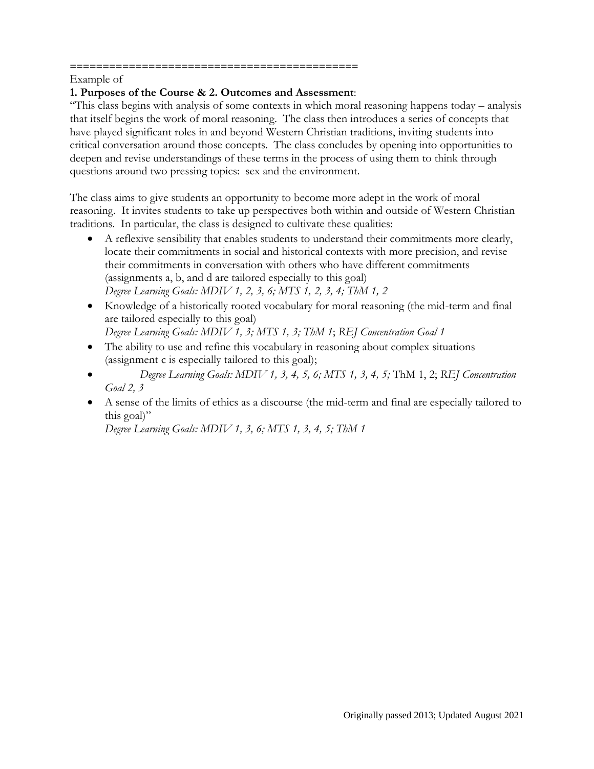#### ============================================ Example of

### **1. Purposes of the Course & 2. Outcomes and Assessment**:

"This class begins with analysis of some contexts in which moral reasoning happens today – analysis that itself begins the work of moral reasoning. The class then introduces a series of concepts that have played significant roles in and beyond Western Christian traditions, inviting students into critical conversation around those concepts. The class concludes by opening into opportunities to deepen and revise understandings of these terms in the process of using them to think through questions around two pressing topics: sex and the environment.

The class aims to give students an opportunity to become more adept in the work of moral reasoning. It invites students to take up perspectives both within and outside of Western Christian traditions. In particular, the class is designed to cultivate these qualities:

- A reflexive sensibility that enables students to understand their commitments more clearly, locate their commitments in social and historical contexts with more precision, and revise their commitments in conversation with others who have different commitments (assignments a, b, and d are tailored especially to this goal) *Degree Learning Goals: MDIV 1, 2, 3, 6; MTS 1, 2, 3, 4; ThM 1, 2*
- Knowledge of a historically rooted vocabulary for moral reasoning (the mid-term and final are tailored especially to this goal)
	- *Degree Learning Goals: MDIV 1, 3; MTS 1, 3; ThM 1*; *REJ Concentration Goal 1*
- The ability to use and refine this vocabulary in reasoning about complex situations (assignment c is especially tailored to this goal);
- *Degree Learning Goals: MDIV 1, 3, 4, 5, 6; MTS 1, 3, 4, 5;* ThM 1, 2; *REJ Concentration Goal 2, 3*
- A sense of the limits of ethics as a discourse (the mid-term and final are especially tailored to this goal)"

*Degree Learning Goals: MDIV 1, 3, 6; MTS 1, 3, 4, 5; ThM 1*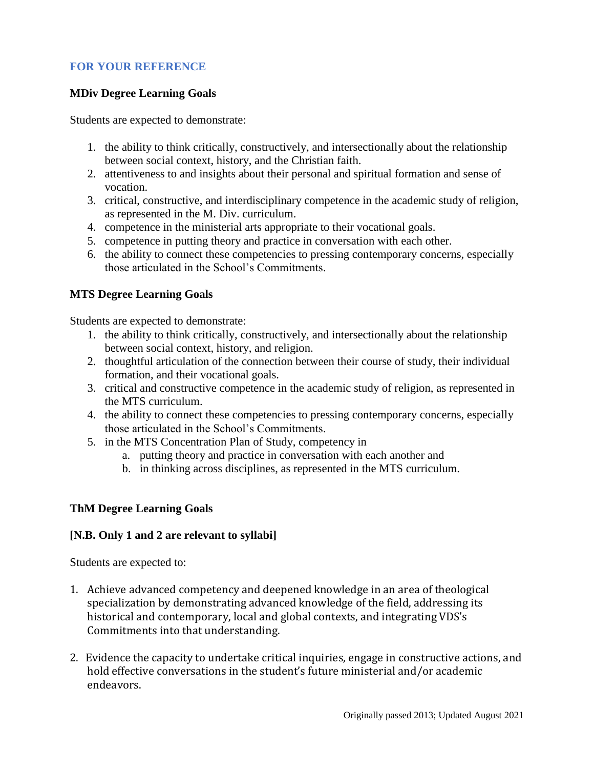# **FOR YOUR REFERENCE**

## **MDiv Degree Learning Goals**

Students are expected to demonstrate:

- 1. the ability to think critically, constructively, and intersectionally about the relationship between social context, history, and the Christian faith.
- 2. attentiveness to and insights about their personal and spiritual formation and sense of vocation.
- 3. critical, constructive, and interdisciplinary competence in the academic study of religion, as represented in the M. Div. curriculum.
- 4. competence in the ministerial arts appropriate to their vocational goals.
- 5. competence in putting theory and practice in conversation with each other.
- 6. the ability to connect these competencies to pressing contemporary concerns, especially those articulated in the School's Commitments.

## **MTS Degree Learning Goals**

Students are expected to demonstrate:

- 1. the ability to think critically, constructively, and intersectionally about the relationship between social context, history, and religion.
- 2. thoughtful articulation of the connection between their course of study, their individual formation, and their vocational goals.
- 3. critical and constructive competence in the academic study of religion, as represented in the MTS curriculum.
- 4. the ability to connect these competencies to pressing contemporary concerns, especially those articulated in the School's Commitments.
- 5. in the MTS Concentration Plan of Study, competency in
	- a. putting theory and practice in conversation with each another and
	- b. in thinking across disciplines, as represented in the MTS curriculum.

## **ThM Degree Learning Goals**

## **[N.B. Only 1 and 2 are relevant to syllabi]**

Students are expected to:

- 1. Achieve advanced competency and deepened knowledge in an area of theological specialization by demonstrating advanced knowledge of the field, addressing its historical and contemporary, local and global contexts, and integrating VDS's Commitments into that understanding.
- 2. Evidence the capacity to undertake critical inquiries, engage in constructive actions, and hold effective conversations in the student's future ministerial and/or academic endeavors.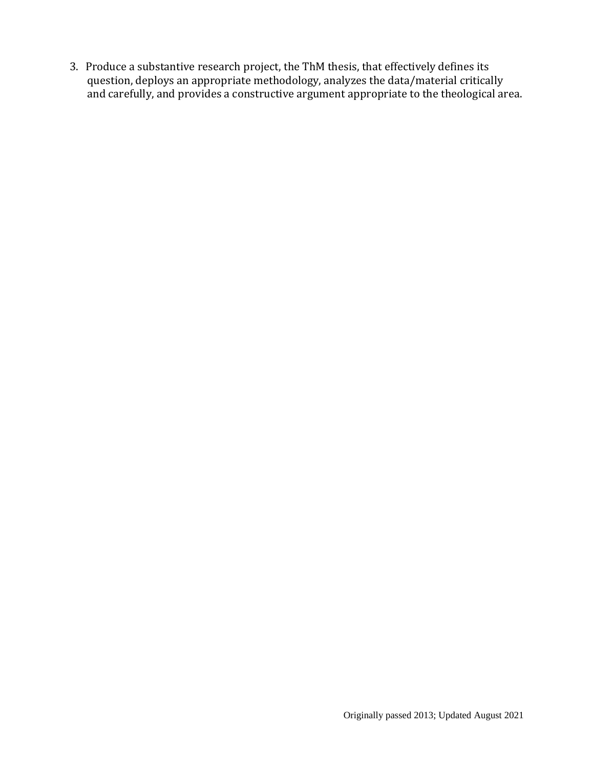3. Produce a substantive research project, the ThM thesis, that effectively defines its question, deploys an appropriate methodology, analyzes the data/material critically and carefully, and provides a constructive argument appropriate to the theological area.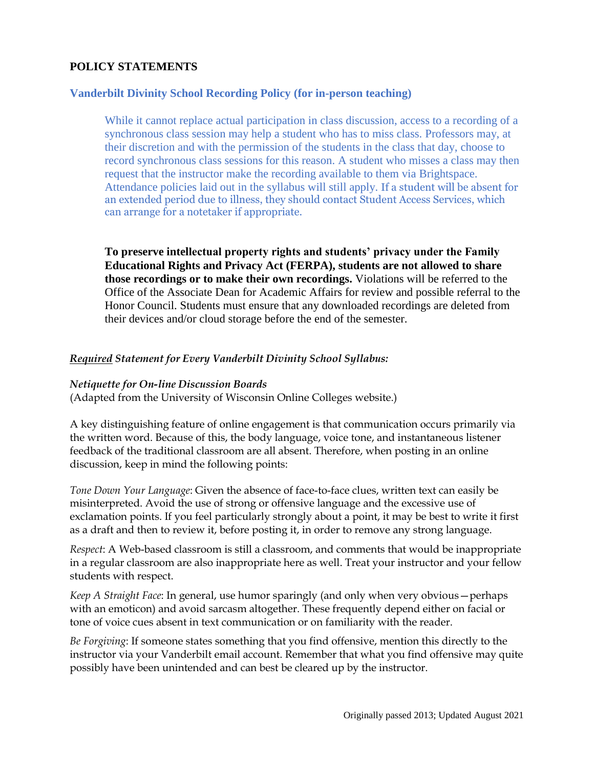# **POLICY STATEMENTS**

### **Vanderbilt Divinity School Recording Policy (for in-person teaching)**

While it cannot replace actual participation in class discussion, access to a recording of a synchronous class session may help a student who has to miss class. Professors may, at their discretion and with the permission of the students in the class that day, choose to record synchronous class sessions for this reason. A student who misses a class may then request that the instructor make the recording available to them via Brightspace. Attendance policies laid out in the syllabus will still apply. If a student will be absent for an extended period due to illness, they should contact Student Access Services, which can arrange for a notetaker if appropriate.

**To preserve intellectual property rights and students' privacy under the Family Educational Rights and Privacy Act (FERPA), students are not allowed to share those recordings or to make their own recordings.** Violations will be referred to the Office of the Associate Dean for Academic Affairs for review and possible referral to the Honor Council. Students must ensure that any downloaded recordings are deleted from their devices and/or cloud storage before the end of the semester.

#### *Required Statement for Every Vanderbilt Divinity School Syllabus:*

#### *Netiquette for On-line Discussion Boards*

(Adapted from the University of Wisconsin Online Colleges website.)

A key distinguishing feature of online engagement is that communication occurs primarily via the written word. Because of this, the body language, voice tone, and instantaneous listener feedback of the traditional classroom are all absent. Therefore, when posting in an online discussion, keep in mind the following points:

*Tone Down Your Language*: Given the absence of face-to-face clues, written text can easily be misinterpreted. Avoid the use of strong or offensive language and the excessive use of exclamation points. If you feel particularly strongly about a point, it may be best to write it first as a draft and then to review it, before posting it, in order to remove any strong language.

*Respect*: A Web-based classroom is still a classroom, and comments that would be inappropriate in a regular classroom are also inappropriate here as well. Treat your instructor and your fellow students with respect.

*Keep A Straight Face*: In general, use humor sparingly (and only when very obvious—perhaps with an emoticon) and avoid sarcasm altogether. These frequently depend either on facial or tone of voice cues absent in text communication or on familiarity with the reader.

*Be Forgiving*: If someone states something that you find offensive, mention this directly to the instructor via your Vanderbilt email account. Remember that what you find offensive may quite possibly have been unintended and can best be cleared up by the instructor.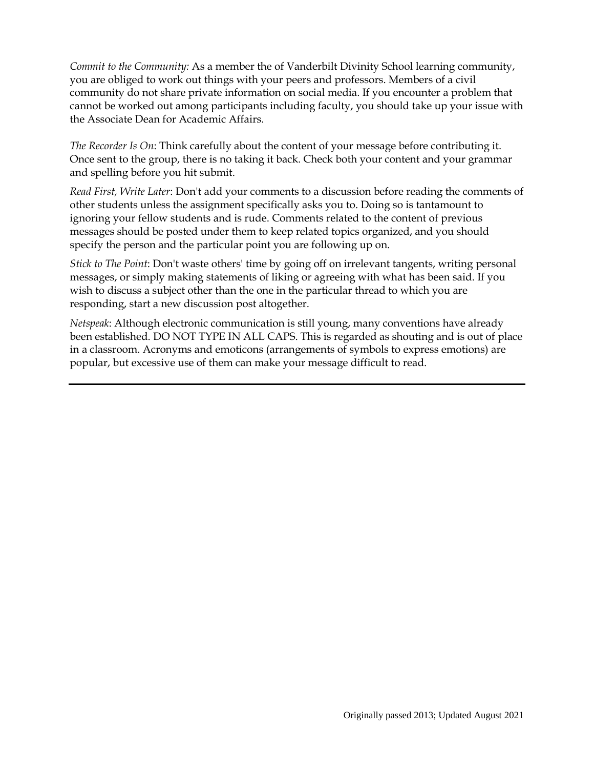*Commit to the Community:* As a member the of Vanderbilt Divinity School learning community, you are obliged to work out things with your peers and professors. Members of a civil community do not share private information on social media. If you encounter a problem that cannot be worked out among participants including faculty, you should take up your issue with the Associate Dean for Academic Affairs.

*The Recorder Is On*: Think carefully about the content of your message before contributing it. Once sent to the group, there is no taking it back. Check both your content and your grammar and spelling before you hit submit.

*Read First, Write Later*: Don't add your comments to a discussion before reading the comments of other students unless the assignment specifically asks you to. Doing so is tantamount to ignoring your fellow students and is rude. Comments related to the content of previous messages should be posted under them to keep related topics organized, and you should specify the person and the particular point you are following up on.

*Stick to The Point*: Don't waste others' time by going off on irrelevant tangents, writing personal messages, or simply making statements of liking or agreeing with what has been said. If you wish to discuss a subject other than the one in the particular thread to which you are responding, start a new discussion post altogether.

*Netspeak*: Although electronic communication is still young, many conventions have already been established. DO NOT TYPE IN ALL CAPS. This is regarded as shouting and is out of place in a classroom. Acronyms and emoticons (arrangements of symbols to express emotions) are popular, but excessive use of them can make your message difficult to read.